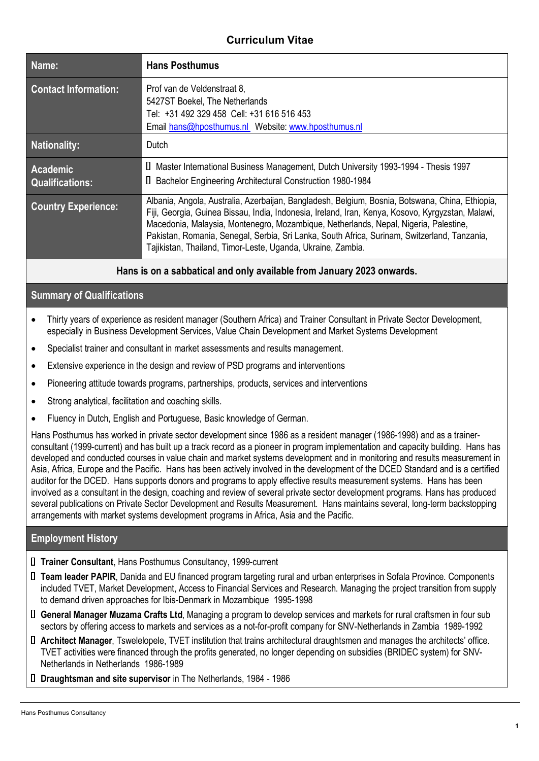# **Curriculum Vitae**

| Name:                                     | <b>Hans Posthumus</b>                                                                                                                                                                                                                                                                                                                                                                                                                                       |
|-------------------------------------------|-------------------------------------------------------------------------------------------------------------------------------------------------------------------------------------------------------------------------------------------------------------------------------------------------------------------------------------------------------------------------------------------------------------------------------------------------------------|
| <b>Contact Information:</b>               | Prof van de Veldenstraat 8,<br>5427ST Boekel, The Netherlands<br>Tel: +31 492 329 458 Cell: +31 616 516 453<br>Email hans@hposthumus.nl Website: www.hposthumus.nl                                                                                                                                                                                                                                                                                          |
| <b>Nationality:</b>                       | Dutch                                                                                                                                                                                                                                                                                                                                                                                                                                                       |
| <b>Academic</b><br><b>Qualifications:</b> | □ Master International Business Management, Dutch University 1993-1994 - Thesis 1997<br>□ Bachelor Engineering Architectural Construction 1980-1984                                                                                                                                                                                                                                                                                                         |
| <b>Country Experience:</b>                | Albania, Angola, Australia, Azerbaijan, Bangladesh, Belgium, Bosnia, Botswana, China, Ethiopia,<br>Fiji, Georgia, Guinea Bissau, India, Indonesia, Ireland, Iran, Kenya, Kosovo, Kyrgyzstan, Malawi,<br>Macedonia, Malaysia, Montenegro, Mozambique, Netherlands, Nepal, Nigeria, Palestine,<br>Pakistan, Romania, Senegal, Serbia, Sri Lanka, South Africa, Surinam, Switzerland, Tanzania,<br>Tajikistan, Thailand, Timor-Leste, Uganda, Ukraine, Zambia. |

### **Hans is on a sabbatical and only available from January 2023 onwards.**

## **Summary of Qualifications**

- Thirty years of experience as resident manager (Southern Africa) and Trainer Consultant in Private Sector Development, especially in Business Development Services, Value Chain Development and Market Systems Development
- Specialist trainer and consultant in market assessments and results management.
- Extensive experience in the design and review of PSD programs and interventions
- Pioneering attitude towards programs, partnerships, products, services and interventions
- Strong analytical, facilitation and coaching skills.
- Fluency in Dutch, English and Portuguese, Basic knowledge of German.

Hans Posthumus has worked in private sector development since 1986 as a resident manager (1986-1998) and as a trainerconsultant (1999-current) and has built up a track record as a pioneer in program implementation and capacity building. Hans has developed and conducted courses in value chain and market systems development and in monitoring and results measurement in Asia, Africa, Europe and the Pacific. Hans has been actively involved in the development of the DCED Standard and is a certified auditor for the DCED. Hans supports donors and programs to apply effective results measurement systems. Hans has been involved as a consultant in the design, coaching and review of several private sector development programs. Hans has produced several publications on Private Sector Development and Results Measurement. Hans maintains several, long-term backstopping arrangements with market systems development programs in Africa, Asia and the Pacific.

### **Employment History**

- **Trainer Consultant**, Hans Posthumus Consultancy, 1999-current
- **Team leader PAPIR**, Danida and EU financed program targeting rural and urban enterprises in Sofala Province. Components included TVET, Market Development, Access to Financial Services and Research. Managing the project transition from supply to demand driven approaches for Ibis-Denmark in Mozambique 1995-1998
- **General Manager Muzama Crafts Ltd**, Managing a program to develop services and markets for rural craftsmen in four sub sectors by offering access to markets and services as a not-for-profit company for SNV-Netherlands in Zambia 1989-1992
- **Architect Manager**, Tswelelopele, TVET institution that trains architectural draughtsmen and manages the architects' office. TVET activities were financed through the profits generated, no longer depending on subsidies (BRIDEC system) for SNV-Netherlands in Netherlands 1986-1989
- **Draughtsman and site supervisor** in The Netherlands, 1984 1986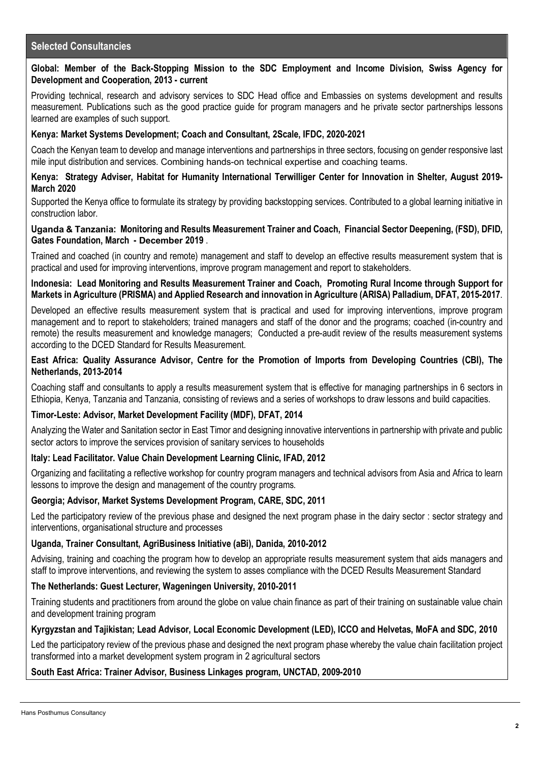# **Selected Consultancies**

### **Global: Member of the Back-Stopping Mission to the SDC Employment and Income Division, Swiss Agency for Development and Cooperation, 2013 - current**

Providing technical, research and advisory services to SDC Head office and Embassies on systems development and results measurement. Publications such as the good practice guide for program managers and he private sector partnerships lessons learned are examples of such support.

### **Kenya: Market Systems Development; Coach and Consultant, 2Scale, IFDC, 2020-2021**

Coach the Kenyan team to develop and manage interventions and partnerships in three sectors, focusing on gender responsive last mile input distribution and services. Combining hands-on technical expertise and coaching teams.

#### **Kenya: Strategy Adviser, Habitat for Humanity International Terwilliger Center for Innovation in Shelter, August 2019- March 2020**

Supported the Kenya office to formulate its strategy by providing backstopping services. Contributed to a global learning initiative in construction labor.

#### **Uganda & Tanzania: Monitoring and Results Measurement Trainer and Coach, Financial Sector Deepening, (FSD), DFID, Gates Foundation, March - December 2019** .

Trained and coached (in country and remote) management and staff to develop an effective results measurement system that is practical and used for improving interventions, improve program management and report to stakeholders.

**Indonesia: Lead Monitoring and Results Measurement Trainer and Coach, Promoting Rural Income through Support for Markets in Agriculture (PRISMA) and Applied Research and innovation in Agriculture (ARISA) Palladium, DFAT, 2015-2017**.

Developed an effective results measurement system that is practical and used for improving interventions, improve program management and to report to stakeholders; trained managers and staff of the donor and the programs; coached (in-country and remote) the results measurement and knowledge managers; Conducted a pre-audit review of the results measurement systems according to the DCED Standard for Results Measurement.

#### **East Africa: Quality Assurance Advisor, Centre for the Promotion of Imports from Developing Countries (CBI), The Netherlands, 2013-2014**

Coaching staff and consultants to apply a results measurement system that is effective for managing partnerships in 6 sectors in Ethiopia, Kenya, Tanzania and Tanzania, consisting of reviews and a series of workshops to draw lessons and build capacities.

### **Timor-Leste: Advisor, Market Development Facility (MDF), DFAT, 2014**

Analyzing the Water and Sanitation sector in East Timor and designing innovative interventions in partnership with private and public sector actors to improve the services provision of sanitary services to households

### **Italy: Lead Facilitator. Value Chain Development Learning Clinic, IFAD, 2012**

Organizing and facilitating a reflective workshop for country program managers and technical advisors from Asia and Africa to learn lessons to improve the design and management of the country programs.

### **Georgia; Advisor, Market Systems Development Program, CARE, SDC, 2011**

Led the participatory review of the previous phase and designed the next program phase in the dairy sector : sector strategy and interventions, organisational structure and processes

### **Uganda, Trainer Consultant, AgriBusiness Initiative (aBi), Danida, 2010-2012**

Advising, training and coaching the program how to develop an appropriate results measurement system that aids managers and staff to improve interventions, and reviewing the system to asses compliance with the DCED Results Measurement Standard

### **The Netherlands: Guest Lecturer, Wageningen University, 2010-2011**

Training students and practitioners from around the globe on value chain finance as part of their training on sustainable value chain and development training program

#### **Kyrgyzstan and Tajikistan; Lead Advisor, Local Economic Development (LED), ICCO and Helvetas, MoFA and SDC, 2010**

Led the participatory review of the previous phase and designed the next program phase whereby the value chain facilitation project transformed into a market development system program in 2 agricultural sectors

#### **South East Africa: Trainer Advisor, Business Linkages program, UNCTAD, 2009-2010**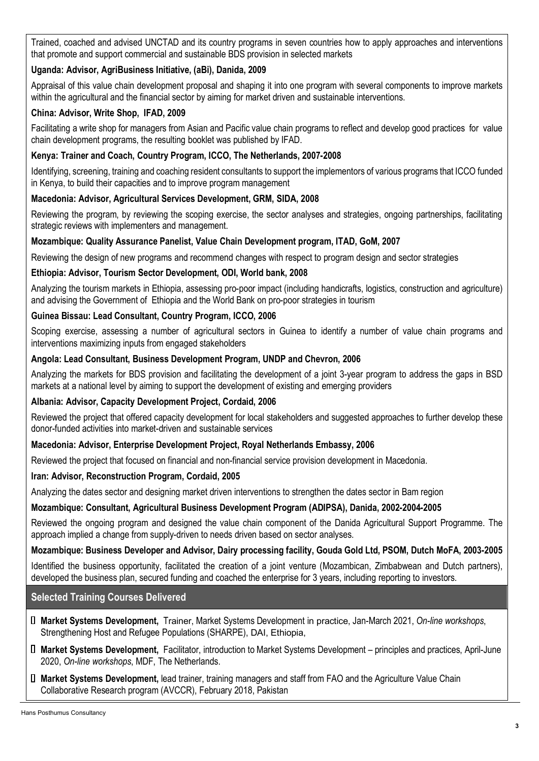Trained, coached and advised UNCTAD and its country programs in seven countries how to apply approaches and interventions that promote and support commercial and sustainable BDS provision in selected markets

# **Uganda: Advisor, AgriBusiness Initiative, (aBi), Danida, 2009**

Appraisal of this value chain development proposal and shaping it into one program with several components to improve markets within the agricultural and the financial sector by aiming for market driven and sustainable interventions.

# **China: Advisor, Write Shop, IFAD, 2009**

Facilitating a write shop for managers from Asian and Pacific value chain programs to reflect and develop good practices for value chain development programs, the resulting booklet was published by IFAD.

# **Kenya: Trainer and Coach, Country Program, ICCO, The Netherlands, 2007-2008**

Identifying, screening, training and coaching resident consultants to support the implementors of various programs that ICCO funded in Kenya, to build their capacities and to improve program management

## **Macedonia: Advisor, Agricultural Services Development, GRM, SIDA, 2008**

Reviewing the program, by reviewing the scoping exercise, the sector analyses and strategies, ongoing partnerships, facilitating strategic reviews with implementers and management.

## **Mozambique: Quality Assurance Panelist, Value Chain Development program, ITAD, GoM, 2007**

Reviewing the design of new programs and recommend changes with respect to program design and sector strategies

### **Ethiopia: Advisor, Tourism Sector Development, ODI, World bank, 2008**

Analyzing the tourism markets in Ethiopia, assessing pro-poor impact (including handicrafts, logistics, construction and agriculture) and advising the Government of Ethiopia and the World Bank on pro-poor strategies in tourism

## **Guinea Bissau: Lead Consultant, Country Program, ICCO, 2006**

Scoping exercise, assessing a number of agricultural sectors in Guinea to identify a number of value chain programs and interventions maximizing inputs from engaged stakeholders

## **Angola: Lead Consultant, Business Development Program, UNDP and Chevron, 2006**

Analyzing the markets for BDS provision and facilitating the development of a joint 3-year program to address the gaps in BSD markets at a national level by aiming to support the development of existing and emerging providers

### **Albania: Advisor, Capacity Development Project, Cordaid, 2006**

Reviewed the project that offered capacity development for local stakeholders and suggested approaches to further develop these donor-funded activities into market-driven and sustainable services

### **Macedonia: Advisor, Enterprise Development Project, Royal Netherlands Embassy, 2006**

Reviewed the project that focused on financial and non-financial service provision development in Macedonia.

### **Iran: Advisor, Reconstruction Program, Cordaid, 2005**

Analyzing the dates sector and designing market driven interventions to strengthen the dates sector in Bam region

# **Mozambique: Consultant, Agricultural Business Development Program (ADIPSA), Danida, 2002-2004-2005**

Reviewed the ongoing program and designed the value chain component of the Danida Agricultural Support Programme. The approach implied a change from supply-driven to needs driven based on sector analyses.

# **Mozambique: Business Developer and Advisor, Dairy processing facility, Gouda Gold Ltd, PSOM, Dutch MoFA, 2003-2005**

Identified the business opportunity, facilitated the creation of a joint venture (Mozambican, Zimbabwean and Dutch partners), developed the business plan, secured funding and coached the enterprise for 3 years, including reporting to investors.

# **Selected Training Courses Delivered**

- **Market Systems Development,** Trainer, Market Systems Development in practice, Jan-March 2021, *On-line workshops*, Strengthening Host and Refugee Populations (SHARPE), DAI, Ethiopia,
- **Market Systems Development,** Facilitator, introduction to Market Systems Development principles and practices, April-June 2020, *On-line workshops*, MDF, The Netherlands.
- **Market Systems Development,** lead trainer, training managers and staff from FAO and the Agriculture Value Chain Collaborative Research program (AVCCR), February 2018, Pakistan